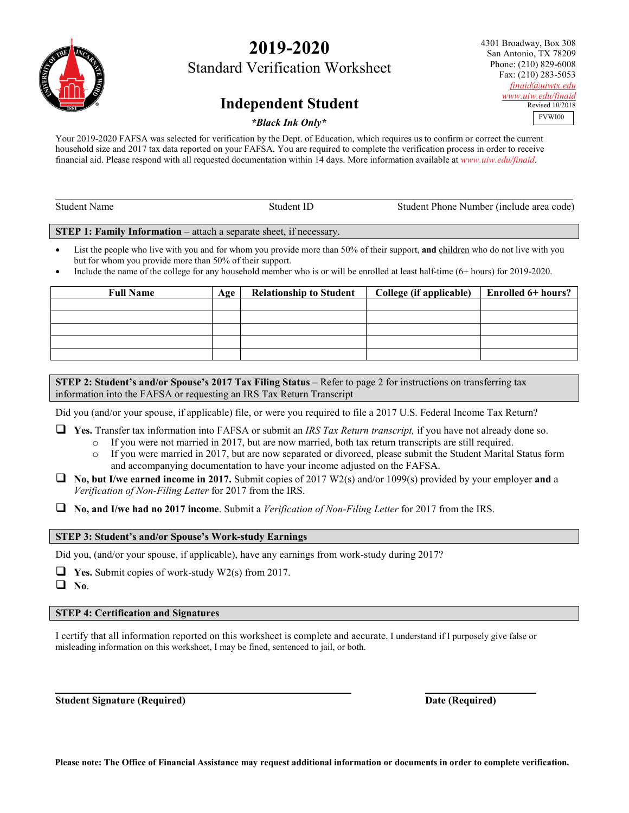# **2019-2020**

Standard Verification Worksheet

## **Independent Student**

4301 Broadway, Box 308 San Antonio, TX 78209 Phone: (210) 829-6008 Fax: (210) 283-5053 *[finaid@uiwtx.edu](mailto:finaid@uiwtx.edu) [www.uiw.edu/finaid](http://www.uiw.edu/finaid)* Revised 10/2018 FVWI00

#### *\*Black Ink Only\**

Your 2019-2020 FAFSA was selected for verification by the Dept. of Education, which requires us to confirm or correct the current household size and 2017 tax data reported on your FAFSA. You are required to complete the verification process in order to receive financial aid. Please respond with all requested documentation within 14 days. More information available at *www.uiw.edu/finaid*.

| Student<br>Name | `fudent_ | Student Phone Number (include area code) |
|-----------------|----------|------------------------------------------|
|                 |          |                                          |

**STEP 1: Family Information** – attach a separate sheet, if necessary.

- List the people who live with you and for whom you provide more than 50% of their support, and children who do not live with you but for whom you provide more than 50% of their support.
- Include the name of the college for any household member who is or will be enrolled at least half-time (6+ hours) for 2019-2020.

| <b>Full Name</b> | Age | <b>Relationship to Student</b> | College (if applicable) | <b>Enrolled 6+ hours?</b> |
|------------------|-----|--------------------------------|-------------------------|---------------------------|
|                  |     |                                |                         |                           |
|                  |     |                                |                         |                           |
|                  |     |                                |                         |                           |
|                  |     |                                |                         |                           |
|                  |     |                                |                         |                           |

**STEP 2: Student's and/or Spouse's 2017 Tax Filing Status –** Refer to page 2 for instructions on transferring tax information into the FAFSA or requesting an IRS Tax Return Transcript

Did you (and/or your spouse, if applicable) file, or were you required to file a 2017 U.S. Federal Income Tax Return?

**Yes.** Transfer tax information into FAFSA or submit an *IRS Tax Return transcript,* if you have not already done so.

- o If you were not married in 2017, but are now married, both tax return transcripts are still required.
- o If you were married in 2017, but are now separated or divorced, please submit the Student Marital Status form and accompanying documentation to have your income adjusted on the FAFSA.
- **No, but I/we earned income in 2017.** Submit copies of 2017 W2(s) and/or 1099(s) provided by your employer **and** a *Verification of Non-Filing Letter* for 2017 from the IRS.

**No, and I/we had no 2017 income**. Submit a *Verification of Non-Filing Letter* for 2017 from the IRS.

#### **STEP 3: Student's and/or Spouse's Work-study Earnings**

Did you, (and/or your spouse, if applicable), have any earnings from work-study during 2017?

**Yes.** Submit copies of work-study W2(s) from 2017.

**No**.

#### **STEP 4: Certification and Signatures**

I certify that all information reported on this worksheet is complete and accurate. I understand if I purposely give false or misleading information on this worksheet, I may be fined, sentenced to jail, or both.

**Student Signature (Required) Date (Required)**